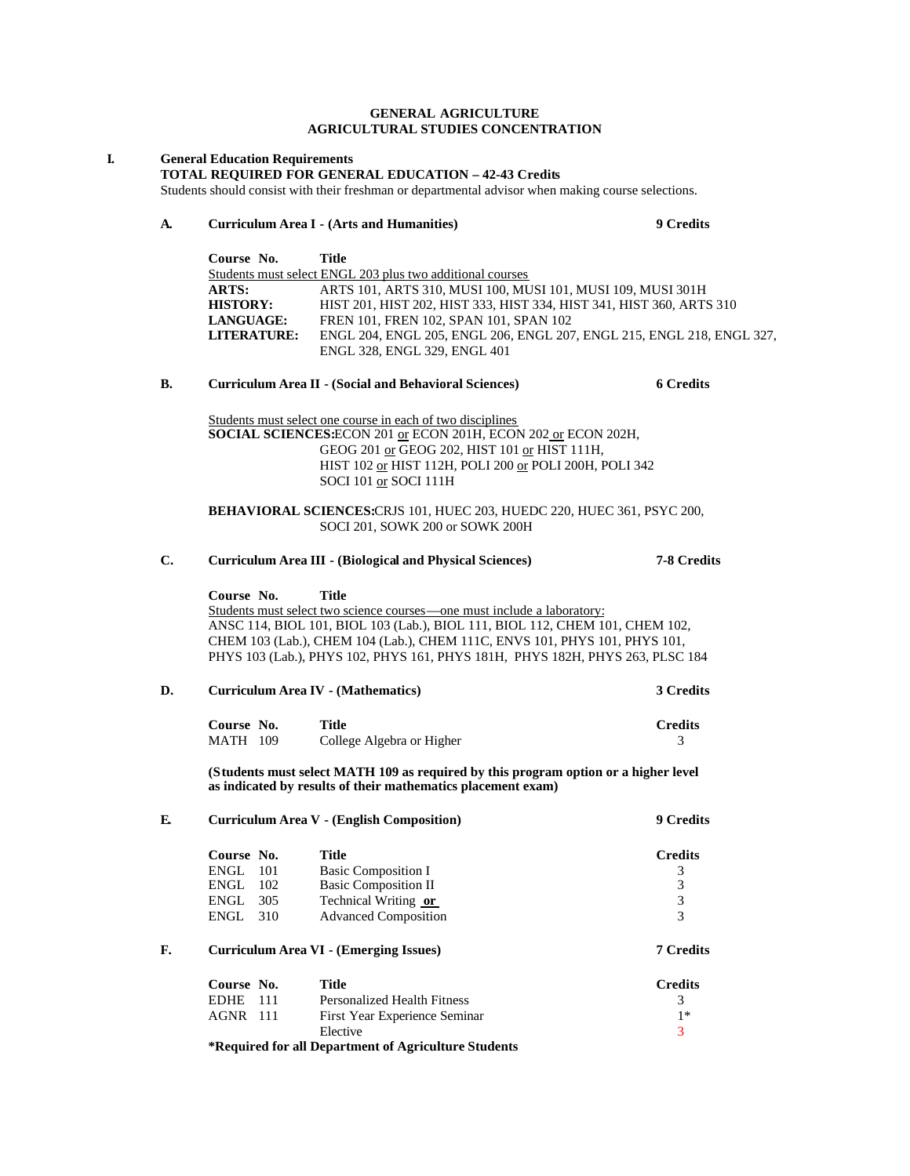### **GENERAL AGRICULTURE AGRICULTURAL STUDIES CONCENTRATION**

#### **I. General Education Requirements**

**TOTAL REQUIRED FOR GENERAL EDUCATION – 42-43 Credits**

Students should consist with their freshman or departmental advisor when making course selections.

## **A. Curriculum Area I - (Arts and Humanities) 9 Credits**

| Course No.       | Title                                                                 |
|------------------|-----------------------------------------------------------------------|
|                  | Students must select ENGL 203 plus two additional courses             |
| <b>ARTS:</b>     | ARTS 101, ARTS 310, MUSI 100, MUSI 101, MUSI 109, MUSI 301H           |
| <b>HISTORY:</b>  | HIST 201. HIST 202. HIST 333. HIST 334. HIST 341. HIST 360. ARTS 310  |
| <b>LANGUAGE:</b> | FREN 101, FREN 102, SPAN 101, SPAN 102                                |
| LITERATURE:      | ENGL 204, ENGL 205, ENGL 206, ENGL 207, ENGL 215, ENGL 218, ENGL 327, |
|                  | ENGL 328, ENGL 329, ENGL 401                                          |

# **B. Curriculum Area II - (Social and Behavioral Sciences) 6 Credits**

Students must select one course in each of two disciplines **SOCIAL SCIENCES:**ECON 201 or ECON 201H, ECON 202 or ECON 202H, GEOG 201 or GEOG 202, HIST 101 or HIST 111H, HIST 102 or HIST 112H, POLI 200 or POLI 200H, POLI 342 SOCI 101 or SOCI 111H

**BEHAVIORAL SCIENCES:**CRJS 101, HUEC 203, HUEDC 220, HUEC 361, PSYC 200, SOCI 201, SOWK 200 or SOWK 200H

# **C. Curriculum Area III - (Biological and Physical Sciences) 7-8 Credits Course No. Title** Students must select two science courses—one must include a laboratory: ANSC 114, BIOL 101, BIOL 103 (Lab.), BIOL 111, BIOL 112, CHEM 101, CHEM 102, CHEM 103 (Lab.), CHEM 104 (Lab.), CHEM 111C, ENVS 101, PHYS 101, PHYS 101, PHYS 103 (Lab.), PHYS 102, PHYS 161, PHYS 181H, PHYS 182H, PHYS 263, PLSC 184 **D. Curriculum Area IV - (Mathematics) 3 Credits Course No. Title Credits** MATH 109 College Algebra or Higher 3 **(Students must select MATH 109 as required by this program option or a higher level as indicated by results of their mathematics placement exam) E. Curriculum Area V - (English Composition) 9 Credits Course No. Title Credits**<br> **Credits**<br> **CRICITENGL 102** Basic Composition II 3<br> **CRICITENGL 102** Basic Composition II 3 Basic Composition I 3 ENGL 102 Basic Composition II 3<br>ENGL 305 Technical Writing or 3 ENGL 305 Technical Writing <u>or</u> 3<br>ENGL 310 Advanced Composition 3 Advanced Composition 3 **F. Curriculum Area VI - (Emerging Issues) 7 Credits Course No. Title Credits** EDHE 111 Personalized Health Fitness 3

AGNR 111 First Year Experience Seminar 1\*

**\*Required for all Department of Agriculture Students**

Elective 3